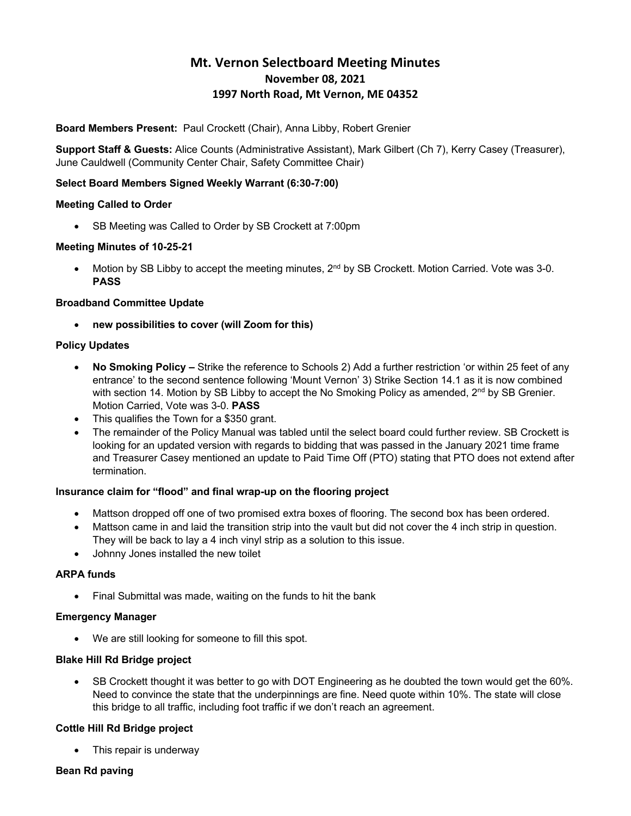# **Mt. Vernon Selectboard Meeting Minutes November 08, 2021 1997 North Road, Mt Vernon, ME 04352**

**Board Members Present:** Paul Crockett (Chair), Anna Libby, Robert Grenier

**Support Staff & Guests:** Alice Counts (Administrative Assistant), Mark Gilbert (Ch 7), Kerry Casey (Treasurer), June Cauldwell (Community Center Chair, Safety Committee Chair)

## **Select Board Members Signed Weekly Warrant (6:30-7:00)**

### **Meeting Called to Order**

• SB Meeting was Called to Order by SB Crockett at 7:00pm

### **Meeting Minutes of 10-25-21**

Motion by SB Libby to accept the meeting minutes,  $2^{nd}$  by SB Crockett. Motion Carried. Vote was 3-0. **PASS**

### **Broadband Committee Update**

• **new possibilities to cover (will Zoom for this)**

### **Policy Updates**

- **No Smoking Policy –** Strike the reference to Schools 2) Add a further restriction 'or within 25 feet of any entrance' to the second sentence following 'Mount Vernon' 3) Strike Section 14.1 as it is now combined with section 14. Motion by SB Libby to accept the No Smoking Policy as amended,  $2^{nd}$  by SB Grenier. Motion Carried, Vote was 3-0. **PASS**
- This qualifies the Town for a \$350 grant.
- The remainder of the Policy Manual was tabled until the select board could further review. SB Crockett is looking for an updated version with regards to bidding that was passed in the January 2021 time frame and Treasurer Casey mentioned an update to Paid Time Off (PTO) stating that PTO does not extend after termination.

#### **Insurance claim for "flood" and final wrap-up on the flooring project**

- Mattson dropped off one of two promised extra boxes of flooring. The second box has been ordered.
- Mattson came in and laid the transition strip into the vault but did not cover the 4 inch strip in question. They will be back to lay a 4 inch vinyl strip as a solution to this issue.
- Johnny Jones installed the new toilet

#### **ARPA funds**

• Final Submittal was made, waiting on the funds to hit the bank

### **Emergency Manager**

• We are still looking for someone to fill this spot.

### **Blake Hill Rd Bridge project**

• SB Crockett thought it was better to go with DOT Engineering as he doubted the town would get the 60%. Need to convince the state that the underpinnings are fine. Need quote within 10%. The state will close this bridge to all traffic, including foot traffic if we don't reach an agreement.

### **Cottle Hill Rd Bridge project**

• This repair is underway

### **Bean Rd paving**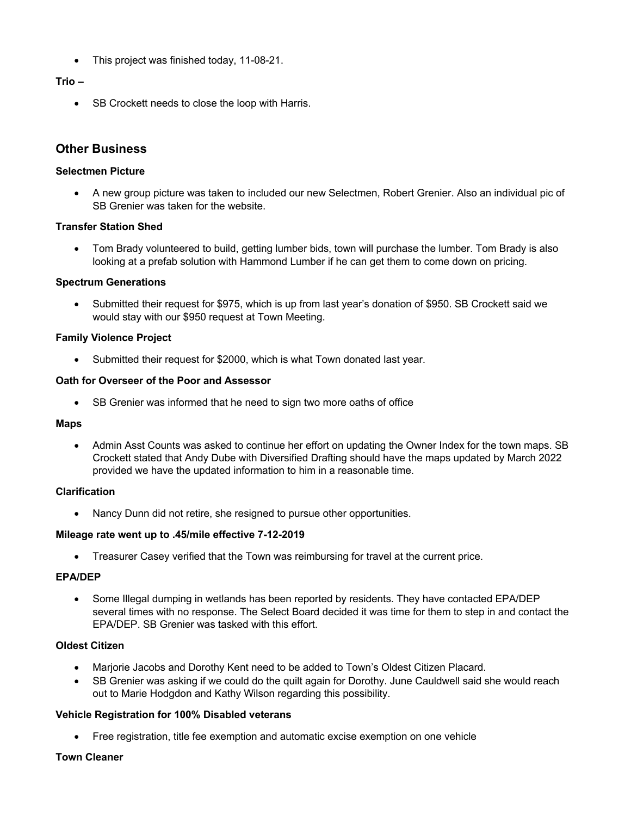• This project was finished today, 11-08-21.

### **Trio –**

• SB Crockett needs to close the loop with Harris.

# **Other Business**

#### **Selectmen Picture**

• A new group picture was taken to included our new Selectmen, Robert Grenier. Also an individual pic of SB Grenier was taken for the website.

### **Transfer Station Shed**

• Tom Brady volunteered to build, getting lumber bids, town will purchase the lumber. Tom Brady is also looking at a prefab solution with Hammond Lumber if he can get them to come down on pricing.

#### **Spectrum Generations**

• Submitted their request for \$975, which is up from last year's donation of \$950. SB Crockett said we would stay with our \$950 request at Town Meeting.

#### **Family Violence Project**

• Submitted their request for \$2000, which is what Town donated last year.

#### **Oath for Overseer of the Poor and Assessor**

• SB Grenier was informed that he need to sign two more oaths of office

#### **Maps**

• Admin Asst Counts was asked to continue her effort on updating the Owner Index for the town maps. SB Crockett stated that Andy Dube with Diversified Drafting should have the maps updated by March 2022 provided we have the updated information to him in a reasonable time.

#### **Clarification**

• Nancy Dunn did not retire, she resigned to pursue other opportunities.

### **Mileage rate went up to .45/mile effective 7-12-2019**

• Treasurer Casey verified that the Town was reimbursing for travel at the current price.

#### **EPA/DEP**

• Some Illegal dumping in wetlands has been reported by residents. They have contacted EPA/DEP several times with no response. The Select Board decided it was time for them to step in and contact the EPA/DEP. SB Grenier was tasked with this effort.

### **Oldest Citizen**

- Marjorie Jacobs and Dorothy Kent need to be added to Town's Oldest Citizen Placard.
- SB Grenier was asking if we could do the quilt again for Dorothy. June Cauldwell said she would reach out to Marie Hodgdon and Kathy Wilson regarding this possibility.

#### **Vehicle Registration for 100% Disabled veterans**

• Free registration, title fee exemption and automatic excise exemption on one vehicle

### **Town Cleaner**